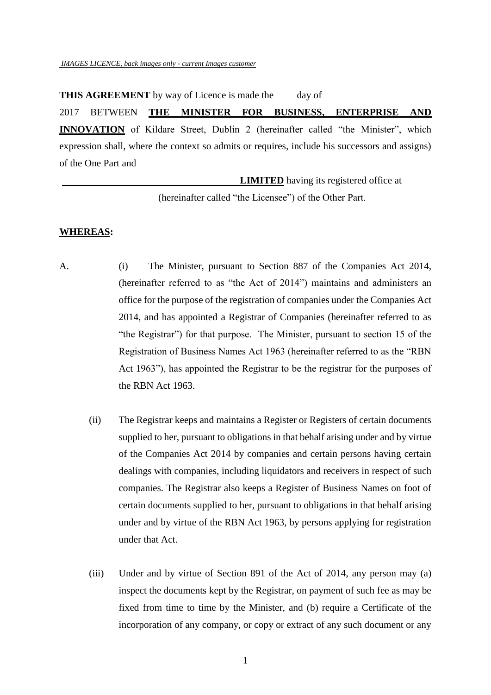**THIS AGREEMENT** by way of Licence is made the day of 2017 BETWEEN **THE MINISTER FOR BUSINESS, ENTERPRISE AND INNOVATION** of Kildare Street, Dublin 2 (hereinafter called "the Minister", which expression shall, where the context so admits or requires, include his successors and assigns) of the One Part and

> **LIMITED** having its registered office at (hereinafter called "the Licensee") of the Other Part.

#### **WHEREAS:**

- A. (i) The Minister, pursuant to Section 887 of the Companies Act 2014, (hereinafter referred to as "the Act of 2014") maintains and administers an office for the purpose of the registration of companies under the Companies Act 2014, and has appointed a Registrar of Companies (hereinafter referred to as "the Registrar") for that purpose. The Minister, pursuant to section 15 of the Registration of Business Names Act 1963 (hereinafter referred to as the "RBN Act 1963"), has appointed the Registrar to be the registrar for the purposes of the RBN Act 1963.
	- (ii) The Registrar keeps and maintains a Register or Registers of certain documents supplied to her, pursuant to obligations in that behalf arising under and by virtue of the Companies Act 2014 by companies and certain persons having certain dealings with companies, including liquidators and receivers in respect of such companies. The Registrar also keeps a Register of Business Names on foot of certain documents supplied to her, pursuant to obligations in that behalf arising under and by virtue of the RBN Act 1963, by persons applying for registration under that Act.
	- (iii) Under and by virtue of Section 891 of the Act of 2014, any person may (a) inspect the documents kept by the Registrar, on payment of such fee as may be fixed from time to time by the Minister, and (b) require a Certificate of the incorporation of any company, or copy or extract of any such document or any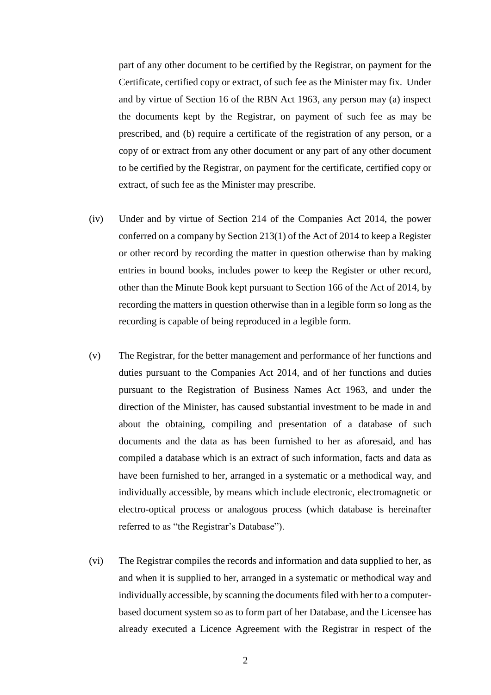part of any other document to be certified by the Registrar, on payment for the Certificate, certified copy or extract, of such fee as the Minister may fix. Under and by virtue of Section 16 of the RBN Act 1963, any person may (a) inspect the documents kept by the Registrar, on payment of such fee as may be prescribed, and (b) require a certificate of the registration of any person, or a copy of or extract from any other document or any part of any other document to be certified by the Registrar, on payment for the certificate, certified copy or extract, of such fee as the Minister may prescribe.

- (iv) Under and by virtue of Section 214 of the Companies Act 2014, the power conferred on a company by Section 213(1) of the Act of 2014 to keep a Register or other record by recording the matter in question otherwise than by making entries in bound books, includes power to keep the Register or other record, other than the Minute Book kept pursuant to Section 166 of the Act of 2014, by recording the matters in question otherwise than in a legible form so long as the recording is capable of being reproduced in a legible form.
- (v) The Registrar, for the better management and performance of her functions and duties pursuant to the Companies Act 2014, and of her functions and duties pursuant to the Registration of Business Names Act 1963, and under the direction of the Minister, has caused substantial investment to be made in and about the obtaining, compiling and presentation of a database of such documents and the data as has been furnished to her as aforesaid, and has compiled a database which is an extract of such information, facts and data as have been furnished to her, arranged in a systematic or a methodical way, and individually accessible, by means which include electronic, electromagnetic or electro-optical process or analogous process (which database is hereinafter referred to as "the Registrar's Database").
- (vi) The Registrar compiles the records and information and data supplied to her, as and when it is supplied to her, arranged in a systematic or methodical way and individually accessible, by scanning the documents filed with her to a computerbased document system so as to form part of her Database, and the Licensee has already executed a Licence Agreement with the Registrar in respect of the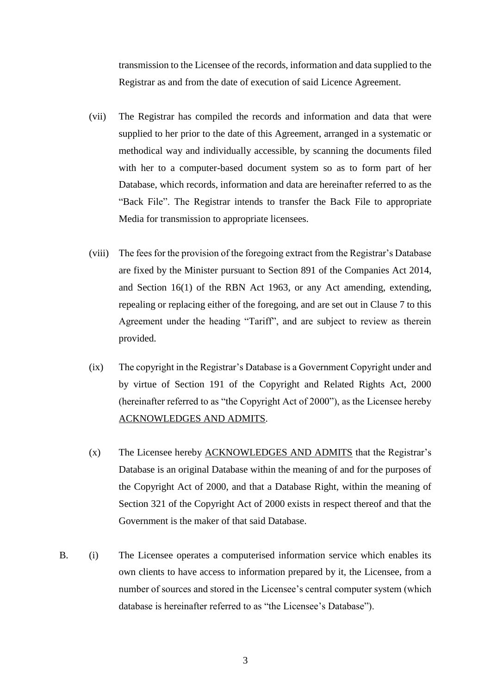transmission to the Licensee of the records, information and data supplied to the Registrar as and from the date of execution of said Licence Agreement.

- (vii) The Registrar has compiled the records and information and data that were supplied to her prior to the date of this Agreement, arranged in a systematic or methodical way and individually accessible, by scanning the documents filed with her to a computer-based document system so as to form part of her Database, which records, information and data are hereinafter referred to as the "Back File". The Registrar intends to transfer the Back File to appropriate Media for transmission to appropriate licensees.
- (viii) The fees for the provision of the foregoing extract from the Registrar's Database are fixed by the Minister pursuant to Section 891 of the Companies Act 2014, and Section 16(1) of the RBN Act 1963, or any Act amending, extending, repealing or replacing either of the foregoing, and are set out in Clause 7 to this Agreement under the heading "Tariff", and are subject to review as therein provided.
- (ix) The copyright in the Registrar's Database is a Government Copyright under and by virtue of Section 191 of the Copyright and Related Rights Act, 2000 (hereinafter referred to as "the Copyright Act of 2000"), as the Licensee hereby ACKNOWLEDGES AND ADMITS.
- (x) The Licensee hereby ACKNOWLEDGES AND ADMITS that the Registrar's Database is an original Database within the meaning of and for the purposes of the Copyright Act of 2000, and that a Database Right, within the meaning of Section 321 of the Copyright Act of 2000 exists in respect thereof and that the Government is the maker of that said Database.
- B. (i) The Licensee operates a computerised information service which enables its own clients to have access to information prepared by it, the Licensee, from a number of sources and stored in the Licensee's central computer system (which database is hereinafter referred to as "the Licensee's Database").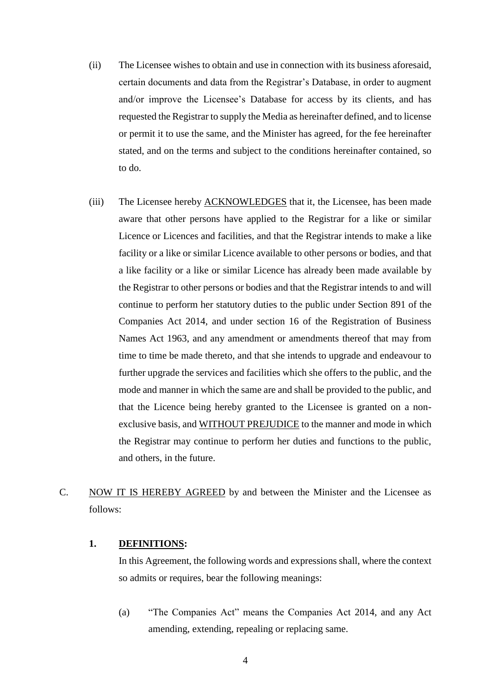- (ii) The Licensee wishes to obtain and use in connection with its business aforesaid, certain documents and data from the Registrar's Database, in order to augment and/or improve the Licensee's Database for access by its clients, and has requested the Registrar to supply the Media as hereinafter defined, and to license or permit it to use the same, and the Minister has agreed, for the fee hereinafter stated, and on the terms and subject to the conditions hereinafter contained, so to do.
- (iii) The Licensee hereby **ACKNOWLEDGES** that it, the Licensee, has been made aware that other persons have applied to the Registrar for a like or similar Licence or Licences and facilities, and that the Registrar intends to make a like facility or a like or similar Licence available to other persons or bodies, and that a like facility or a like or similar Licence has already been made available by the Registrar to other persons or bodies and that the Registrar intends to and will continue to perform her statutory duties to the public under Section 891 of the Companies Act 2014, and under section 16 of the Registration of Business Names Act 1963, and any amendment or amendments thereof that may from time to time be made thereto, and that she intends to upgrade and endeavour to further upgrade the services and facilities which she offers to the public, and the mode and manner in which the same are and shall be provided to the public, and that the Licence being hereby granted to the Licensee is granted on a nonexclusive basis, and WITHOUT PREJUDICE to the manner and mode in which the Registrar may continue to perform her duties and functions to the public, and others, in the future.
- C. NOW IT IS HEREBY AGREED by and between the Minister and the Licensee as follows:

#### **1. DEFINITIONS:**

In this Agreement, the following words and expressions shall, where the context so admits or requires, bear the following meanings:

(a) "The Companies Act" means the Companies Act 2014, and any Act amending, extending, repealing or replacing same.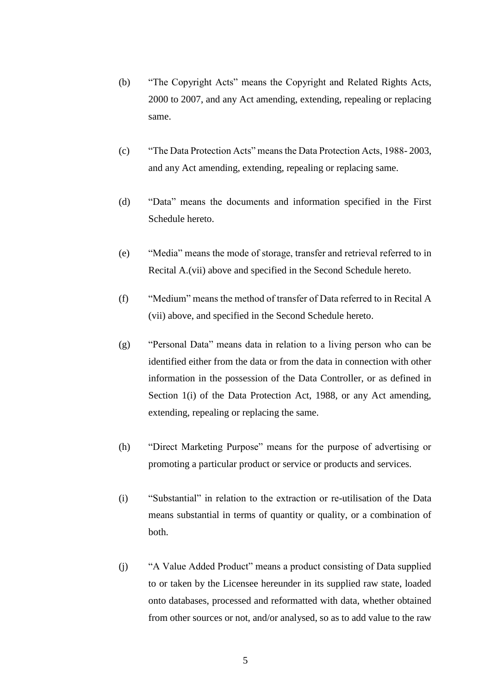- (b) "The Copyright Acts" means the Copyright and Related Rights Acts, 2000 to 2007, and any Act amending, extending, repealing or replacing same.
- (c) "The Data Protection Acts" means the Data Protection Acts, 1988- 2003, and any Act amending, extending, repealing or replacing same.
- (d) "Data" means the documents and information specified in the First Schedule hereto.
- (e) "Media" means the mode of storage, transfer and retrieval referred to in Recital A.(vii) above and specified in the Second Schedule hereto.
- (f) "Medium" means the method of transfer of Data referred to in Recital A (vii) above, and specified in the Second Schedule hereto.
- (g) "Personal Data" means data in relation to a living person who can be identified either from the data or from the data in connection with other information in the possession of the Data Controller, or as defined in Section 1(i) of the Data Protection Act, 1988, or any Act amending, extending, repealing or replacing the same.
- (h) "Direct Marketing Purpose" means for the purpose of advertising or promoting a particular product or service or products and services.
- (i) "Substantial" in relation to the extraction or re-utilisation of the Data means substantial in terms of quantity or quality, or a combination of both.
- (j) "A Value Added Product" means a product consisting of Data supplied to or taken by the Licensee hereunder in its supplied raw state, loaded onto databases, processed and reformatted with data, whether obtained from other sources or not, and/or analysed, so as to add value to the raw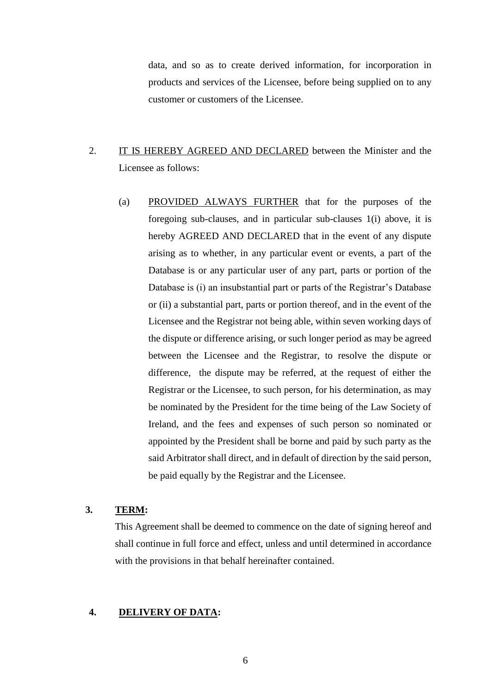data, and so as to create derived information, for incorporation in products and services of the Licensee, before being supplied on to any customer or customers of the Licensee.

- 2. IT IS HEREBY AGREED AND DECLARED between the Minister and the Licensee as follows:
	- (a) PROVIDED ALWAYS FURTHER that for the purposes of the foregoing sub-clauses, and in particular sub-clauses 1(i) above, it is hereby AGREED AND DECLARED that in the event of any dispute arising as to whether, in any particular event or events, a part of the Database is or any particular user of any part, parts or portion of the Database is (i) an insubstantial part or parts of the Registrar's Database or (ii) a substantial part, parts or portion thereof, and in the event of the Licensee and the Registrar not being able, within seven working days of the dispute or difference arising, or such longer period as may be agreed between the Licensee and the Registrar, to resolve the dispute or difference, the dispute may be referred, at the request of either the Registrar or the Licensee, to such person, for his determination, as may be nominated by the President for the time being of the Law Society of Ireland, and the fees and expenses of such person so nominated or appointed by the President shall be borne and paid by such party as the said Arbitrator shall direct, and in default of direction by the said person, be paid equally by the Registrar and the Licensee.

### **3. TERM:**

This Agreement shall be deemed to commence on the date of signing hereof and shall continue in full force and effect, unless and until determined in accordance with the provisions in that behalf hereinafter contained.

#### **4. DELIVERY OF DATA:**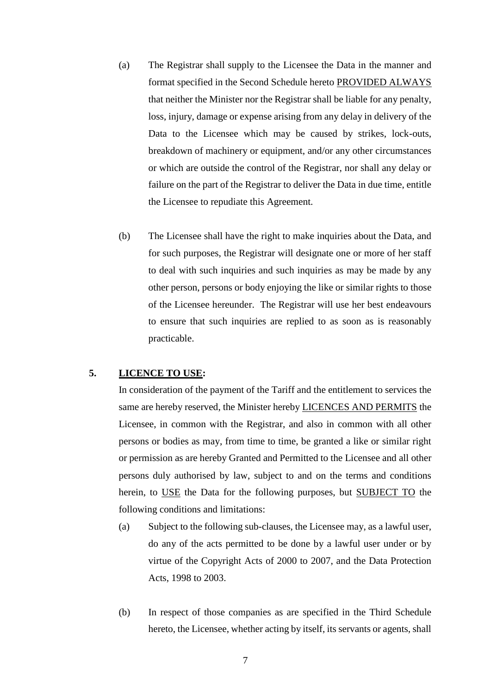- (a) The Registrar shall supply to the Licensee the Data in the manner and format specified in the Second Schedule hereto PROVIDED ALWAYS that neither the Minister nor the Registrar shall be liable for any penalty, loss, injury, damage or expense arising from any delay in delivery of the Data to the Licensee which may be caused by strikes, lock-outs, breakdown of machinery or equipment, and/or any other circumstances or which are outside the control of the Registrar, nor shall any delay or failure on the part of the Registrar to deliver the Data in due time, entitle the Licensee to repudiate this Agreement.
- (b) The Licensee shall have the right to make inquiries about the Data, and for such purposes, the Registrar will designate one or more of her staff to deal with such inquiries and such inquiries as may be made by any other person, persons or body enjoying the like or similar rights to those of the Licensee hereunder. The Registrar will use her best endeavours to ensure that such inquiries are replied to as soon as is reasonably practicable.

#### **5. LICENCE TO USE:**

In consideration of the payment of the Tariff and the entitlement to services the same are hereby reserved, the Minister hereby LICENCES AND PERMITS the Licensee, in common with the Registrar, and also in common with all other persons or bodies as may, from time to time, be granted a like or similar right or permission as are hereby Granted and Permitted to the Licensee and all other persons duly authorised by law, subject to and on the terms and conditions herein, to USE the Data for the following purposes, but SUBJECT TO the following conditions and limitations:

- (a) Subject to the following sub-clauses, the Licensee may, as a lawful user, do any of the acts permitted to be done by a lawful user under or by virtue of the Copyright Acts of 2000 to 2007, and the Data Protection Acts, 1998 to 2003.
- (b) In respect of those companies as are specified in the Third Schedule hereto, the Licensee, whether acting by itself, its servants or agents, shall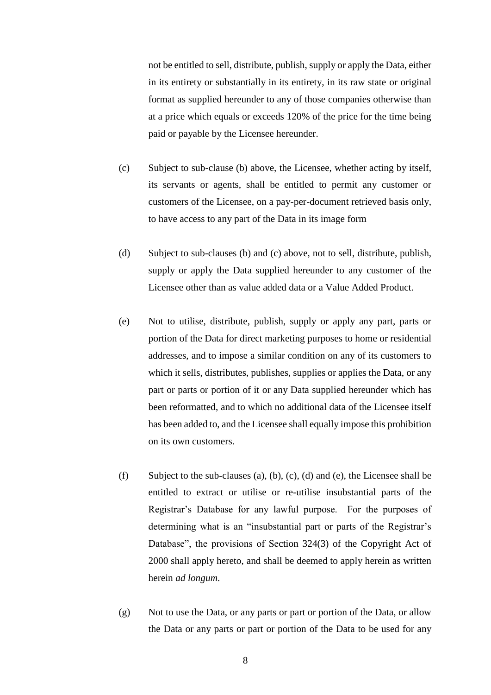not be entitled to sell, distribute, publish, supply or apply the Data, either in its entirety or substantially in its entirety, in its raw state or original format as supplied hereunder to any of those companies otherwise than at a price which equals or exceeds 120% of the price for the time being paid or payable by the Licensee hereunder.

- (c) Subject to sub-clause (b) above, the Licensee, whether acting by itself, its servants or agents, shall be entitled to permit any customer or customers of the Licensee, on a pay-per-document retrieved basis only, to have access to any part of the Data in its image form
- (d) Subject to sub-clauses (b) and (c) above, not to sell, distribute, publish, supply or apply the Data supplied hereunder to any customer of the Licensee other than as value added data or a Value Added Product.
- (e) Not to utilise, distribute, publish, supply or apply any part, parts or portion of the Data for direct marketing purposes to home or residential addresses, and to impose a similar condition on any of its customers to which it sells, distributes, publishes, supplies or applies the Data, or any part or parts or portion of it or any Data supplied hereunder which has been reformatted, and to which no additional data of the Licensee itself has been added to, and the Licensee shall equally impose this prohibition on its own customers.
- (f) Subject to the sub-clauses (a), (b), (c), (d) and (e), the Licensee shall be entitled to extract or utilise or re-utilise insubstantial parts of the Registrar's Database for any lawful purpose. For the purposes of determining what is an "insubstantial part or parts of the Registrar's Database", the provisions of Section 324(3) of the Copyright Act of 2000 shall apply hereto, and shall be deemed to apply herein as written herein *ad longum*.
- (g) Not to use the Data, or any parts or part or portion of the Data, or allow the Data or any parts or part or portion of the Data to be used for any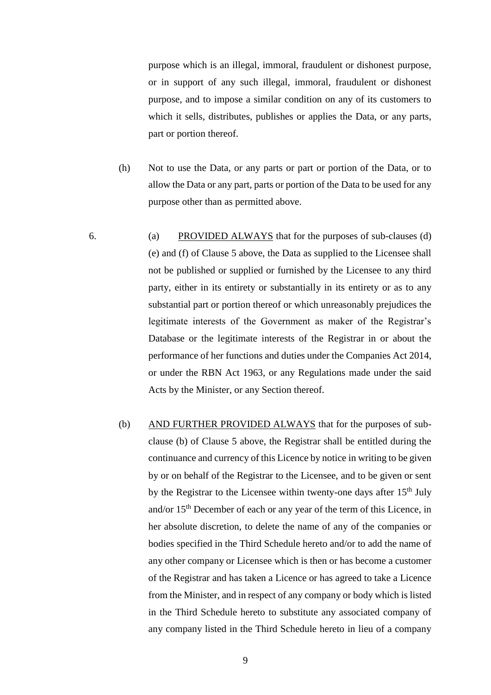purpose which is an illegal, immoral, fraudulent or dishonest purpose, or in support of any such illegal, immoral, fraudulent or dishonest purpose, and to impose a similar condition on any of its customers to which it sells, distributes, publishes or applies the Data, or any parts, part or portion thereof.

- (h) Not to use the Data, or any parts or part or portion of the Data, or to allow the Data or any part, parts or portion of the Data to be used for any purpose other than as permitted above.
- 6. (a) PROVIDED ALWAYS that for the purposes of sub-clauses (d) (e) and (f) of Clause 5 above, the Data as supplied to the Licensee shall not be published or supplied or furnished by the Licensee to any third party, either in its entirety or substantially in its entirety or as to any substantial part or portion thereof or which unreasonably prejudices the legitimate interests of the Government as maker of the Registrar's Database or the legitimate interests of the Registrar in or about the performance of her functions and duties under the Companies Act 2014, or under the RBN Act 1963, or any Regulations made under the said Acts by the Minister, or any Section thereof.
	- (b) AND FURTHER PROVIDED ALWAYS that for the purposes of subclause (b) of Clause 5 above, the Registrar shall be entitled during the continuance and currency of this Licence by notice in writing to be given by or on behalf of the Registrar to the Licensee, and to be given or sent by the Registrar to the Licensee within twenty-one days after  $15<sup>th</sup>$  July and/or 15th December of each or any year of the term of this Licence, in her absolute discretion, to delete the name of any of the companies or bodies specified in the Third Schedule hereto and/or to add the name of any other company or Licensee which is then or has become a customer of the Registrar and has taken a Licence or has agreed to take a Licence from the Minister, and in respect of any company or body which is listed in the Third Schedule hereto to substitute any associated company of any company listed in the Third Schedule hereto in lieu of a company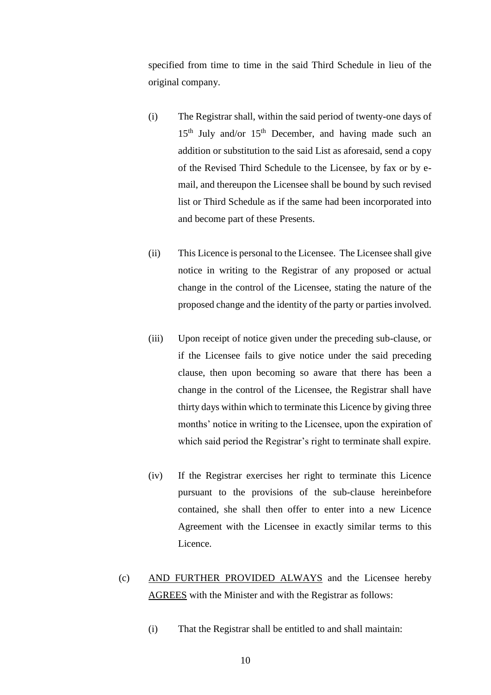specified from time to time in the said Third Schedule in lieu of the original company.

- (i) The Registrar shall, within the said period of twenty-one days of  $15<sup>th</sup>$  July and/or  $15<sup>th</sup>$  December, and having made such an addition or substitution to the said List as aforesaid, send a copy of the Revised Third Schedule to the Licensee, by fax or by email, and thereupon the Licensee shall be bound by such revised list or Third Schedule as if the same had been incorporated into and become part of these Presents.
- (ii) This Licence is personal to the Licensee. The Licensee shall give notice in writing to the Registrar of any proposed or actual change in the control of the Licensee, stating the nature of the proposed change and the identity of the party or parties involved.
- (iii) Upon receipt of notice given under the preceding sub-clause, or if the Licensee fails to give notice under the said preceding clause, then upon becoming so aware that there has been a change in the control of the Licensee, the Registrar shall have thirty days within which to terminate this Licence by giving three months' notice in writing to the Licensee, upon the expiration of which said period the Registrar's right to terminate shall expire.
- (iv) If the Registrar exercises her right to terminate this Licence pursuant to the provisions of the sub-clause hereinbefore contained, she shall then offer to enter into a new Licence Agreement with the Licensee in exactly similar terms to this Licence.
- (c) AND FURTHER PROVIDED ALWAYS and the Licensee hereby AGREES with the Minister and with the Registrar as follows:
	- (i) That the Registrar shall be entitled to and shall maintain: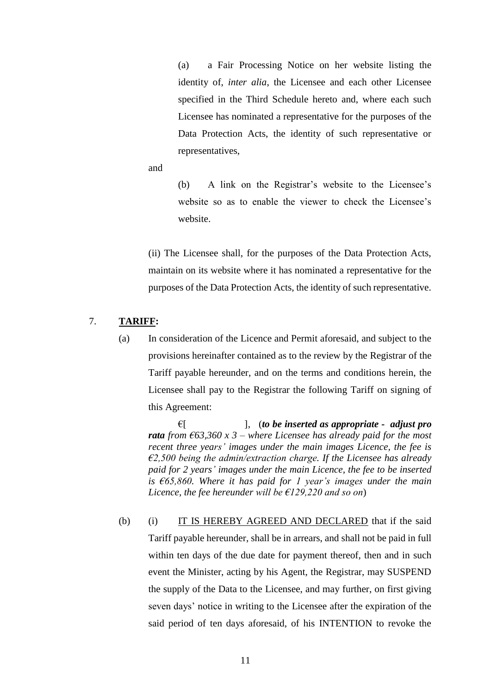(a) a Fair Processing Notice on her website listing the identity of, *inter alia*, the Licensee and each other Licensee specified in the Third Schedule hereto and, where each such Licensee has nominated a representative for the purposes of the Data Protection Acts, the identity of such representative or representatives,

#### and

(b) A link on the Registrar's website to the Licensee's website so as to enable the viewer to check the Licensee's website.

(ii) The Licensee shall, for the purposes of the Data Protection Acts, maintain on its website where it has nominated a representative for the purposes of the Data Protection Acts, the identity of such representative.

#### 7. **TARIFF:**

(a) In consideration of the Licence and Permit aforesaid, and subject to the provisions hereinafter contained as to the review by the Registrar of the Tariff payable hereunder, and on the terms and conditions herein, the Licensee shall pay to the Registrar the following Tariff on signing of this Agreement:

€[ ], (*to be inserted as appropriate - adjust pro rata from*  $\epsilon$ 63,360 x 3 – *where Licensee has already paid for the most recent three years' images under the main images Licence, the fee is €2,500 being the admin/extraction charge. If the Licensee has already paid for 2 years' images under the main Licence, the fee to be inserted is €65,860. Where it has paid for 1 year's images under the main Licence, the fee hereunder will be €129,220 and so on*)

(b) (i) IT IS HEREBY AGREED AND DECLARED that if the said Tariff payable hereunder, shall be in arrears, and shall not be paid in full within ten days of the due date for payment thereof, then and in such event the Minister, acting by his Agent, the Registrar, may SUSPEND the supply of the Data to the Licensee, and may further, on first giving seven days' notice in writing to the Licensee after the expiration of the said period of ten days aforesaid, of his INTENTION to revoke the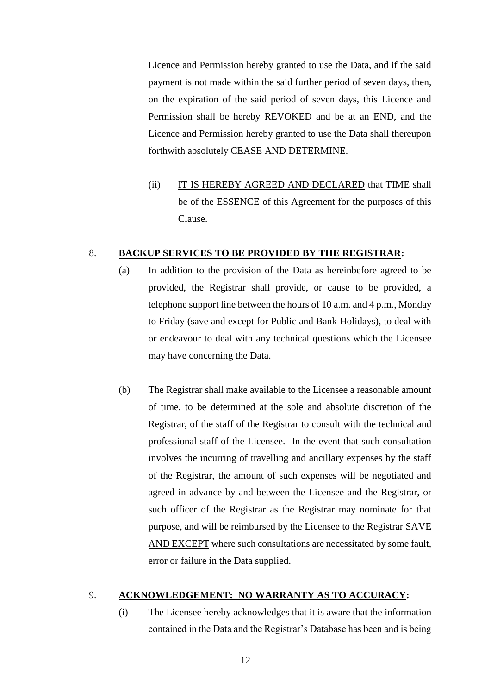Licence and Permission hereby granted to use the Data, and if the said payment is not made within the said further period of seven days, then, on the expiration of the said period of seven days, this Licence and Permission shall be hereby REVOKED and be at an END, and the Licence and Permission hereby granted to use the Data shall thereupon forthwith absolutely CEASE AND DETERMINE.

(ii) IT IS HEREBY AGREED AND DECLARED that TIME shall be of the ESSENCE of this Agreement for the purposes of this Clause.

#### 8. **BACKUP SERVICES TO BE PROVIDED BY THE REGISTRAR:**

- (a) In addition to the provision of the Data as hereinbefore agreed to be provided, the Registrar shall provide, or cause to be provided, a telephone support line between the hours of 10 a.m. and 4 p.m., Monday to Friday (save and except for Public and Bank Holidays), to deal with or endeavour to deal with any technical questions which the Licensee may have concerning the Data.
- (b) The Registrar shall make available to the Licensee a reasonable amount of time, to be determined at the sole and absolute discretion of the Registrar, of the staff of the Registrar to consult with the technical and professional staff of the Licensee. In the event that such consultation involves the incurring of travelling and ancillary expenses by the staff of the Registrar, the amount of such expenses will be negotiated and agreed in advance by and between the Licensee and the Registrar, or such officer of the Registrar as the Registrar may nominate for that purpose, and will be reimbursed by the Licensee to the Registrar SAVE AND EXCEPT where such consultations are necessitated by some fault, error or failure in the Data supplied.

#### 9. **ACKNOWLEDGEMENT: NO WARRANTY AS TO ACCURACY:**

(i) The Licensee hereby acknowledges that it is aware that the information contained in the Data and the Registrar's Database has been and is being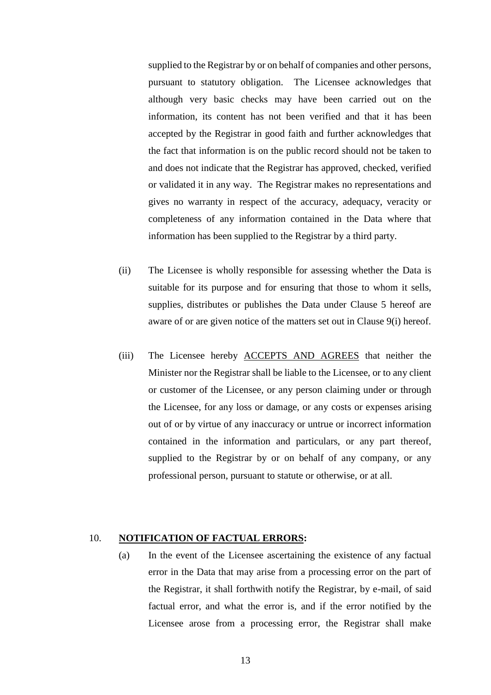supplied to the Registrar by or on behalf of companies and other persons, pursuant to statutory obligation. The Licensee acknowledges that although very basic checks may have been carried out on the information, its content has not been verified and that it has been accepted by the Registrar in good faith and further acknowledges that the fact that information is on the public record should not be taken to and does not indicate that the Registrar has approved, checked, verified or validated it in any way. The Registrar makes no representations and gives no warranty in respect of the accuracy, adequacy, veracity or completeness of any information contained in the Data where that information has been supplied to the Registrar by a third party.

- (ii) The Licensee is wholly responsible for assessing whether the Data is suitable for its purpose and for ensuring that those to whom it sells, supplies, distributes or publishes the Data under Clause 5 hereof are aware of or are given notice of the matters set out in Clause 9(i) hereof.
- (iii) The Licensee hereby ACCEPTS AND AGREES that neither the Minister nor the Registrar shall be liable to the Licensee, or to any client or customer of the Licensee, or any person claiming under or through the Licensee, for any loss or damage, or any costs or expenses arising out of or by virtue of any inaccuracy or untrue or incorrect information contained in the information and particulars, or any part thereof, supplied to the Registrar by or on behalf of any company, or any professional person, pursuant to statute or otherwise, or at all.

### 10. **NOTIFICATION OF FACTUAL ERRORS:**

(a) In the event of the Licensee ascertaining the existence of any factual error in the Data that may arise from a processing error on the part of the Registrar, it shall forthwith notify the Registrar, by e-mail, of said factual error, and what the error is, and if the error notified by the Licensee arose from a processing error, the Registrar shall make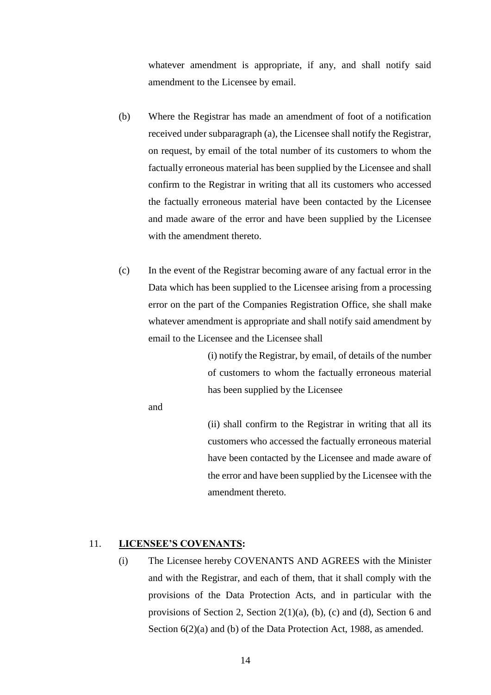whatever amendment is appropriate, if any, and shall notify said amendment to the Licensee by email.

- (b) Where the Registrar has made an amendment of foot of a notification received under subparagraph (a), the Licensee shall notify the Registrar, on request, by email of the total number of its customers to whom the factually erroneous material has been supplied by the Licensee and shall confirm to the Registrar in writing that all its customers who accessed the factually erroneous material have been contacted by the Licensee and made aware of the error and have been supplied by the Licensee with the amendment thereto.
- (c) In the event of the Registrar becoming aware of any factual error in the Data which has been supplied to the Licensee arising from a processing error on the part of the Companies Registration Office, she shall make whatever amendment is appropriate and shall notify said amendment by email to the Licensee and the Licensee shall

(i) notify the Registrar, by email, of details of the number of customers to whom the factually erroneous material has been supplied by the Licensee

and

(ii) shall confirm to the Registrar in writing that all its customers who accessed the factually erroneous material have been contacted by the Licensee and made aware of the error and have been supplied by the Licensee with the amendment thereto.

#### 11. **LICENSEE'S COVENANTS:**

(i) The Licensee hereby COVENANTS AND AGREES with the Minister and with the Registrar, and each of them, that it shall comply with the provisions of the Data Protection Acts, and in particular with the provisions of Section 2, Section 2(1)(a), (b), (c) and (d), Section 6 and Section  $6(2)(a)$  and (b) of the Data Protection Act, 1988, as amended.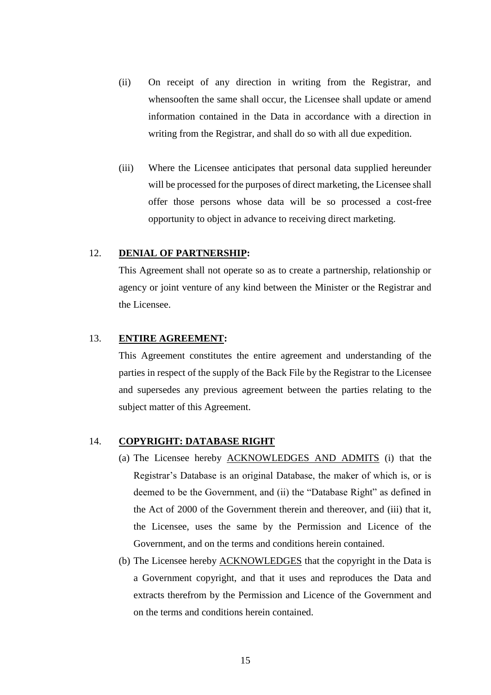- (ii) On receipt of any direction in writing from the Registrar, and whensooften the same shall occur, the Licensee shall update or amend information contained in the Data in accordance with a direction in writing from the Registrar, and shall do so with all due expedition.
- (iii) Where the Licensee anticipates that personal data supplied hereunder will be processed for the purposes of direct marketing, the Licensee shall offer those persons whose data will be so processed a cost-free opportunity to object in advance to receiving direct marketing.

#### 12. **DENIAL OF PARTNERSHIP:**

This Agreement shall not operate so as to create a partnership, relationship or agency or joint venture of any kind between the Minister or the Registrar and the Licensee.

#### 13. **ENTIRE AGREEMENT:**

This Agreement constitutes the entire agreement and understanding of the parties in respect of the supply of the Back File by the Registrar to the Licensee and supersedes any previous agreement between the parties relating to the subject matter of this Agreement.

### 14. **COPYRIGHT: DATABASE RIGHT**

- (a) The Licensee hereby ACKNOWLEDGES AND ADMITS (i) that the Registrar's Database is an original Database, the maker of which is, or is deemed to be the Government, and (ii) the "Database Right" as defined in the Act of 2000 of the Government therein and thereover, and (iii) that it, the Licensee, uses the same by the Permission and Licence of the Government, and on the terms and conditions herein contained.
- (b) The Licensee hereby ACKNOWLEDGES that the copyright in the Data is a Government copyright, and that it uses and reproduces the Data and extracts therefrom by the Permission and Licence of the Government and on the terms and conditions herein contained.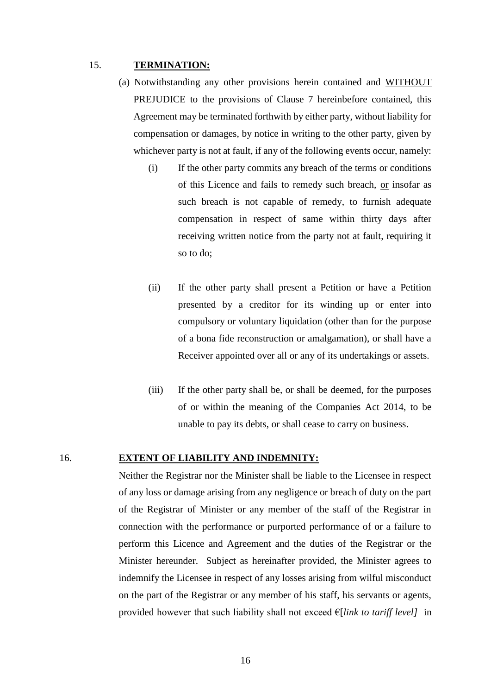#### 15. **TERMINATION:**

- (a) Notwithstanding any other provisions herein contained and WITHOUT PREJUDICE to the provisions of Clause 7 hereinbefore contained, this Agreement may be terminated forthwith by either party, without liability for compensation or damages, by notice in writing to the other party, given by whichever party is not at fault, if any of the following events occur, namely:
	- (i) If the other party commits any breach of the terms or conditions of this Licence and fails to remedy such breach, or insofar as such breach is not capable of remedy, to furnish adequate compensation in respect of same within thirty days after receiving written notice from the party not at fault, requiring it so to do;
	- (ii) If the other party shall present a Petition or have a Petition presented by a creditor for its winding up or enter into compulsory or voluntary liquidation (other than for the purpose of a bona fide reconstruction or amalgamation), or shall have a Receiver appointed over all or any of its undertakings or assets.
	- (iii) If the other party shall be, or shall be deemed, for the purposes of or within the meaning of the Companies Act 2014, to be unable to pay its debts, or shall cease to carry on business.

#### 16. **EXTENT OF LIABILITY AND INDEMNITY:**

Neither the Registrar nor the Minister shall be liable to the Licensee in respect of any loss or damage arising from any negligence or breach of duty on the part of the Registrar of Minister or any member of the staff of the Registrar in connection with the performance or purported performance of or a failure to perform this Licence and Agreement and the duties of the Registrar or the Minister hereunder. Subject as hereinafter provided, the Minister agrees to indemnify the Licensee in respect of any losses arising from wilful misconduct on the part of the Registrar or any member of his staff, his servants or agents, provided however that such liability shall not exceed €[*link to tariff level]* in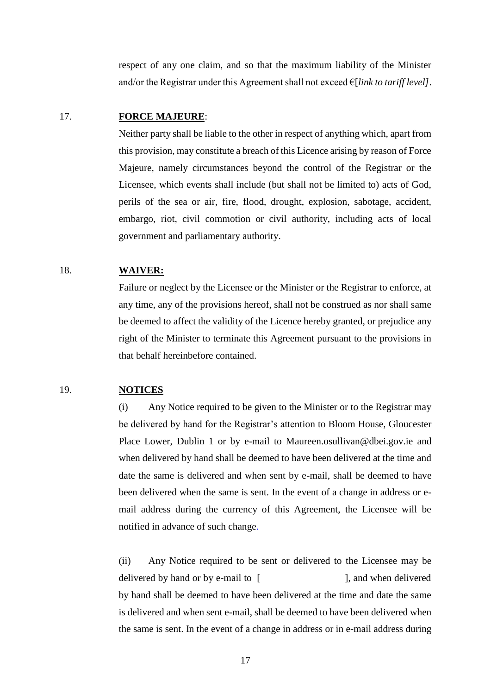respect of any one claim, and so that the maximum liability of the Minister and/or the Registrar under this Agreement shall not exceed €[*link to tariff level]*.

#### 17. **FORCE MAJEURE**:

Neither party shall be liable to the other in respect of anything which, apart from this provision, may constitute a breach of this Licence arising by reason of Force Majeure, namely circumstances beyond the control of the Registrar or the Licensee, which events shall include (but shall not be limited to) acts of God, perils of the sea or air, fire, flood, drought, explosion, sabotage, accident, embargo, riot, civil commotion or civil authority, including acts of local government and parliamentary authority.

### 18. **WAIVER:**

Failure or neglect by the Licensee or the Minister or the Registrar to enforce, at any time, any of the provisions hereof, shall not be construed as nor shall same be deemed to affect the validity of the Licence hereby granted, or prejudice any right of the Minister to terminate this Agreement pursuant to the provisions in that behalf hereinbefore contained.

#### 19. **NOTICES**

(i) Any Notice required to be given to the Minister or to the Registrar may be delivered by hand for the Registrar's attention to Bloom House, Gloucester Place Lower, Dublin 1 or by e-mail to Maureen.osullivan@dbei.gov.ie and when delivered by hand shall be deemed to have been delivered at the time and date the same is delivered and when sent by e-mail, shall be deemed to have been delivered when the same is sent. In the event of a change in address or email address during the currency of this Agreement, the Licensee will be notified in advance of such change.

(ii) Any Notice required to be sent or delivered to the Licensee may be delivered by hand or by e-mail to [ ], and when delivered by hand shall be deemed to have been delivered at the time and date the same is delivered and when sent e-mail, shall be deemed to have been delivered when the same is sent. In the event of a change in address or in e-mail address during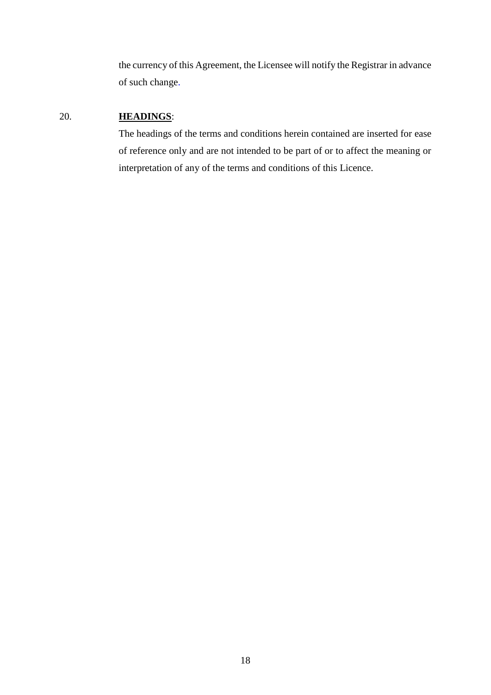the currency of this Agreement, the Licensee will notify the Registrar in advance of such change.

# 20. **HEADINGS**:

The headings of the terms and conditions herein contained are inserted for ease of reference only and are not intended to be part of or to affect the meaning or interpretation of any of the terms and conditions of this Licence.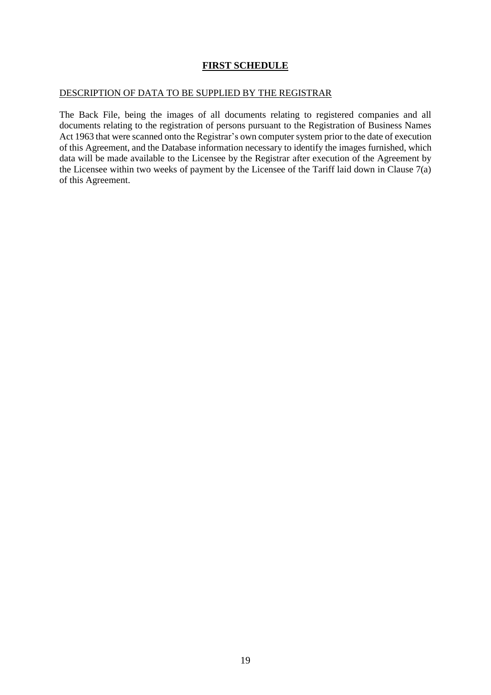## **FIRST SCHEDULE**

#### DESCRIPTION OF DATA TO BE SUPPLIED BY THE REGISTRAR

The Back File, being the images of all documents relating to registered companies and all documents relating to the registration of persons pursuant to the Registration of Business Names Act 1963 that were scanned onto the Registrar's own computer system prior to the date of execution of this Agreement, and the Database information necessary to identify the images furnished, which data will be made available to the Licensee by the Registrar after execution of the Agreement by the Licensee within two weeks of payment by the Licensee of the Tariff laid down in Clause  $7(a)$ of this Agreement.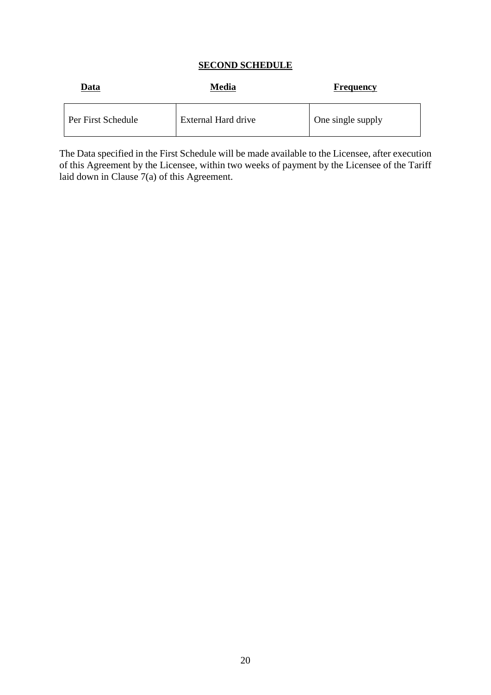### **SECOND SCHEDULE**

| Data               | Media               | Frequency         |
|--------------------|---------------------|-------------------|
| Per First Schedule | External Hard drive | One single supply |

The Data specified in the First Schedule will be made available to the Licensee, after execution of this Agreement by the Licensee, within two weeks of payment by the Licensee of the Tariff laid down in Clause 7(a) of this Agreement.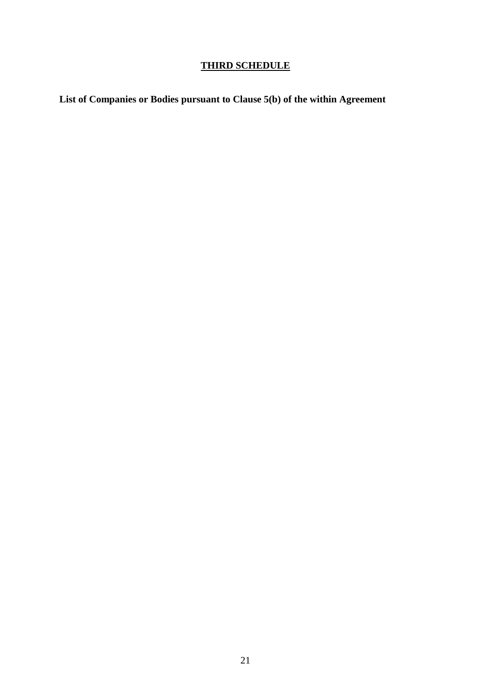# **THIRD SCHEDULE**

**List of Companies or Bodies pursuant to Clause 5(b) of the within Agreement**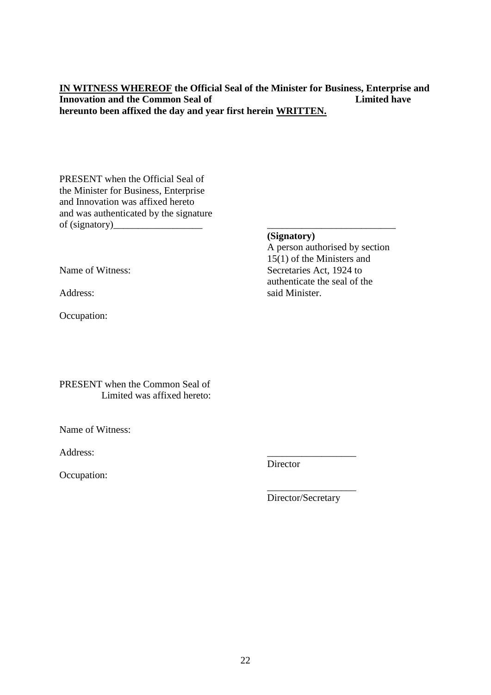**IN WITNESS WHEREOF the Official Seal of the Minister for Business, Enterprise and Innovation and the Common Seal of Limited have hereunto been affixed the day and year first herein WRITTEN.**

PRESENT when the Official Seal of the Minister for Business, Enterprise and Innovation was affixed hereto and was authenticated by the signature  $of (signatory)$ 

Occupation:

### **(Signatory)**

A person authorised by section 15(1) of the Ministers and Name of Witness: Secretaries Act, 1924 to authenticate the seal of the Address: said Minister.

PRESENT when the Common Seal of Limited was affixed hereto:

Name of Witness:

Address: \_\_\_\_\_\_\_\_\_\_\_\_\_\_\_\_\_\_

Occupation:

Director

Director/Secretary

\_\_\_\_\_\_\_\_\_\_\_\_\_\_\_\_\_\_